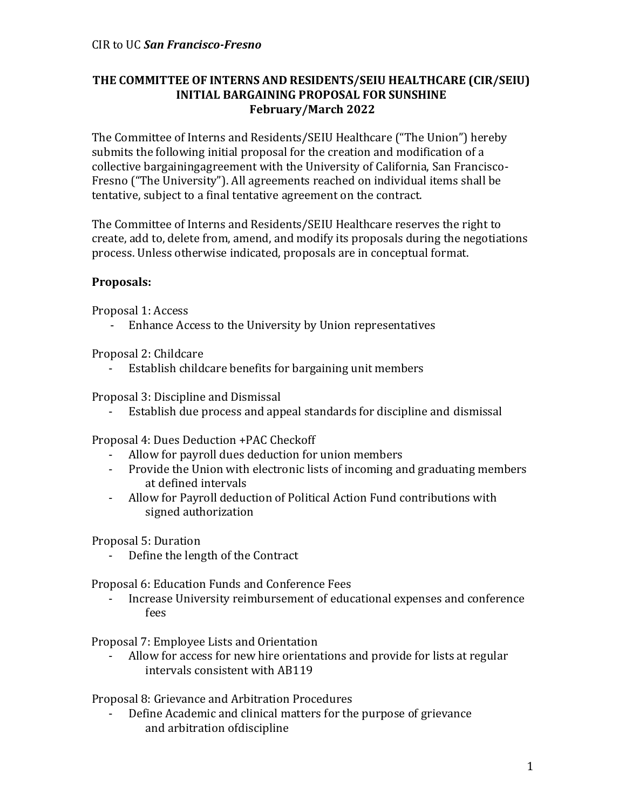## **THE COMMITTEE OF INTERNS AND RESIDENTS/SEIU HEALTHCARE (CIR/SEIU) INITIAL BARGAINING PROPOSAL FOR SUNSHINE February/March 2022**

The Committee of Interns and Residents/SEIU Healthcare ("The Union") hereby submits the following initial proposal for the creation and modification of a collective bargainingagreement with the University of California, San Francisco-Fresno ("The University"). All agreements reached on individual items shall be tentative, subject to a final tentative agreement on the contract.

The Committee of Interns and Residents/SEIU Healthcare reserves the right to create, add to, delete from, amend, and modify its proposals during the negotiations process. Unless otherwise indicated, proposals are in conceptual format.

## **Proposals:**

Proposal 1: Access

- Enhance Access to the University by Union representatives

Proposal 2: Childcare

- Establish childcare benefits for bargaining unit members

Proposal 3: Discipline and Dismissal

Establish due process and appeal standards for discipline and dismissal

Proposal 4: Dues Deduction +PAC Checkoff

- Allow for payroll dues deduction for union members
- Provide the Union with electronic lists of incoming and graduating members at defined intervals
- Allow for Payroll deduction of Political Action Fund contributions with signed authorization

Proposal 5: Duration

Define the length of the Contract

Proposal 6: Education Funds and Conference Fees

- Increase University reimbursement of educational expenses and conference fees

Proposal 7: Employee Lists and Orientation

Allow for access for new hire orientations and provide for lists at regular intervals consistent with AB119

Proposal 8: Grievance and Arbitration Procedures

- Define Academic and clinical matters for the purpose of grievance and arbitration ofdiscipline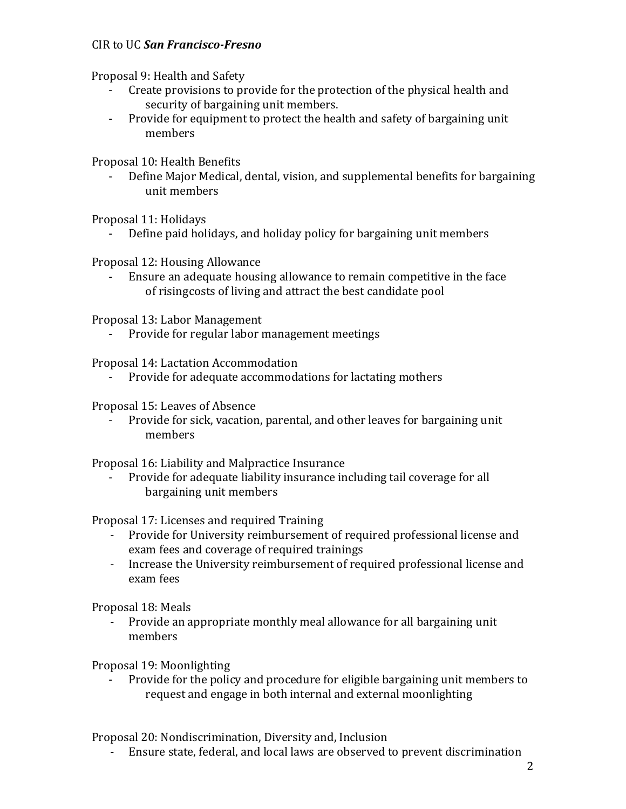## CIR to UC *San Francisco-Fresno*

Proposal 9: Health and Safety

- Create provisions to provide for the protection of the physical health and security of bargaining unit members.
- Provide for equipment to protect the health and safety of bargaining unit members

Proposal 10: Health Benefits

- Define Major Medical, dental, vision, and supplemental benefits for bargaining unit members

Proposal 11: Holidays

Define paid holidays, and holiday policy for bargaining unit members

Proposal 12: Housing Allowance

- Ensure an adequate housing allowance to remain competitive in the face of risingcosts of living and attract the best candidate pool

Proposal 13: Labor Management

Provide for regular labor management meetings

Proposal 14: Lactation Accommodation

- Provide for adequate accommodations for lactating mothers

Proposal 15: Leaves of Absence

- Provide for sick, vacation, parental, and other leaves for bargaining unit members

Proposal 16: Liability and Malpractice Insurance

- Provide for adequate liability insurance including tail coverage for all bargaining unit members

Proposal 17: Licenses and required Training

- Provide for University reimbursement of required professional license and exam fees and coverage of required trainings
- Increase the University reimbursement of required professional license and exam fees

Proposal 18: Meals

- Provide an appropriate monthly meal allowance for all bargaining unit members

Proposal 19: Moonlighting

- Provide for the policy and procedure for eligible bargaining unit members to request and engage in both internal and external moonlighting

Proposal 20: Nondiscrimination, Diversity and, Inclusion

- Ensure state, federal, and local laws are observed to prevent discrimination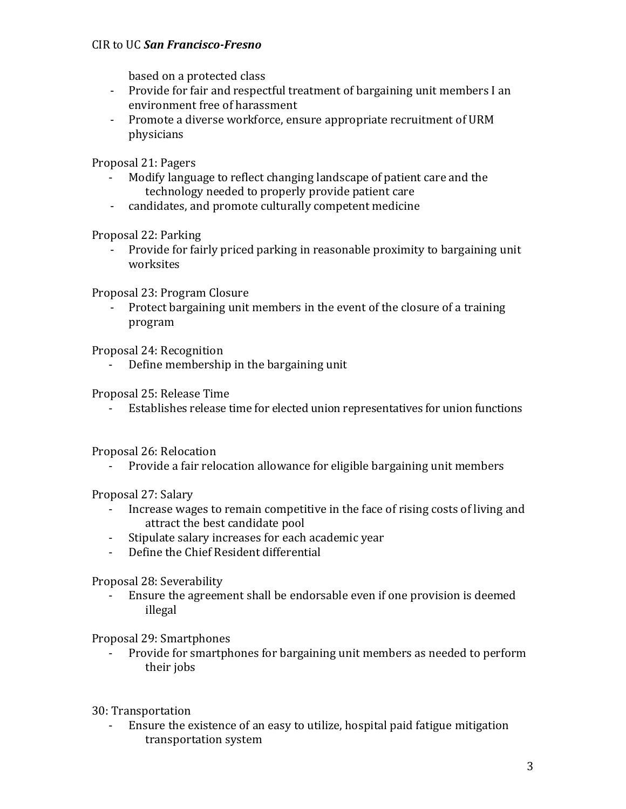## CIR to UC *San Francisco-Fresno*

based on a protected class

- Provide for fair and respectful treatment of bargaining unit members I an environment free of harassment
- Promote a diverse workforce, ensure appropriate recruitment of URM physicians

Proposal 21: Pagers

- Modify language to reflect changing landscape of patient care and the technology needed to properly provide patient care
- candidates, and promote culturally competent medicine

Proposal 22: Parking

- Provide for fairly priced parking in reasonable proximity to bargaining unit worksites

Proposal 23: Program Closure

- Protect bargaining unit members in the event of the closure of a training program

Proposal 24: Recognition

- Define membership in the bargaining unit

Proposal 25: Release Time

- Establishes release time for elected union representatives for union functions

Proposal 26: Relocation

- Provide a fair relocation allowance for eligible bargaining unit members

Proposal 27: Salary

- Increase wages to remain competitive in the face of rising costs of living and attract the best candidate pool
- Stipulate salary increases for each academic year
- Define the Chief Resident differential

Proposal 28: Severability

- Ensure the agreement shall be endorsable even if one provision is deemed illegal

Proposal 29: Smartphones

Provide for smartphones for bargaining unit members as needed to perform their jobs

30: Transportation

- Ensure the existence of an easy to utilize, hospital paid fatigue mitigation transportation system